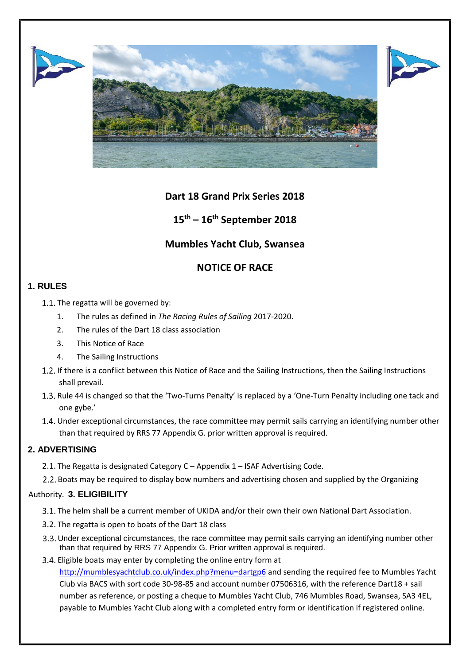





# **Dart 18 Grand Prix Series 2018**

**15th – 16th September 2018**

# **Mumbles Yacht Club, Swansea**

# **NOTICE OF RACE**

## **1. RULES**

1.1. The regatta will be governed by:

- 1. The rules as defined in *The Racing Rules of Sailing* 2017-2020.
- 2. The rules of the Dart 18 class association
- 3. This Notice of Race
- 4. The Sailing Instructions
- 1.2. If there is a conflict between this Notice of Race and the Sailing Instructions, then the Sailing Instructions shall prevail.
- 1.3. Rule 44 is changed so that the 'Two-Turns Penalty' is replaced by a 'One-Turn Penalty including one tack and one gybe.'
- Under exceptional circumstances, the race committee may permit sails carrying an identifying number other than that required by RRS 77 Appendix G. prior written approval is required.

## **2. ADVERTISING**

- 2.1. The Regatta is designated Category  $C -$  Appendix  $1 -$  ISAF Advertising Code.
- 2.2. Boats may be required to display bow numbers and advertising chosen and supplied by the Organizing

#### Authority. **3. ELIGIBILITY**

- 3.1. The helm shall be a current member of UKIDA and/or their own their own National Dart Association.
- 3.2. The regatta is open to boats of the Dart 18 class
- 3.3. Under exceptional circumstances, the race committee may permit sails carrying an identifying number other than that required by RRS 77 Appendix G. Prior written approval is required.
- 3.4. Eligible boats may enter by completing the online entry form at

<http://mumblesyachtclub.co.uk/index.php?menu=dartgp6> [a](http://mumblesyachtclub.co.uk/index.php?menu=dartgp6)nd sending the required fee to Mumbles Yacht Club via BACS with sort code 30-98-85 and account number 07506316, with the reference Dart18 + sail number as reference, or posting a cheque to Mumbles Yacht Club, 746 Mumbles Road, Swansea, SA3 4EL, payable to Mumbles Yacht Club along with a completed entry form or identification if registered online.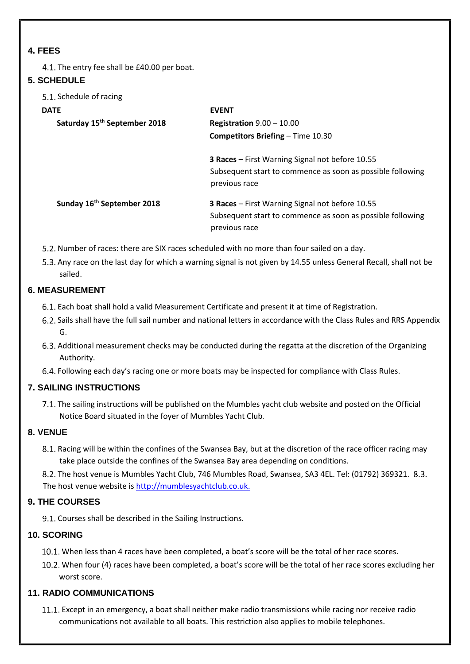#### **4. FEES**

4.1. The entry fee shall be £40.00 per boat.

#### **5. SCHEDULE**

5.1. Schedule of racing

# **DATE EVENT Saturday 15th September 2018 Registration** 9.00 – 10.00 **Competitors Briefing** – Time 10.30 **3 Races** – First Warning Signal not before 10.55 Subsequent start to commence as soon as possible following previous race

**Sunday 16th September 2018 3 Races** – First Warning Signal not before 10.55 Subsequent start to commence as soon as possible following previous race

- 5.2. Number of races: there are SIX races scheduled with no more than four sailed on a day.
- 5.3. Any race on the last day for which a warning signal is not given by 14.55 unless General Recall, shall not be sailed.

#### **6. MEASUREMENT**

- Each boat shall hold a valid Measurement Certificate and present it at time of Registration.
- Sails shall have the full sail number and national letters in accordance with the Class Rules and RRS Appendix G.
- Additional measurement checks may be conducted during the regatta at the discretion of the Organizing Authority.
- Following each day's racing one or more boats may be inspected for compliance with Class Rules.

#### **7. SAILING INSTRUCTIONS**

7.1. The sailing instructions will be published on the Mumbles yacht club website and posted on the Official Notice Board situated in the foyer of Mumbles Yacht Club.

#### **8. VENUE**

Racing will be within the confines of the Swansea Bay, but at the discretion of the race officer racing may take place outside the confines of the Swansea Bay area depending on conditions.

8.2. The host venue is Mumbles Yacht Club, 746 Mumbles Road, Swansea, SA3 4EL. Tel: (01792) 369321. 8.3. The host venue website is [http://mumblesyachtclub.co.uk.](http://mumblesyachtclub.co.uk/)

#### **9. THE COURSES**

9.1. Courses shall be described in the Sailing Instructions.

#### **10. SCORING**

- When less than 4 races have been completed, a boat's score will be the total of her race scores.
- When four (4) races have been completed, a boat's score will be the total of her race scores excluding her worst score.

#### **11. RADIO COMMUNICATIONS**

Except in an emergency, a boat shall neither make radio transmissions while racing nor receive radio communications not available to all boats. This restriction also applies to mobile telephones.